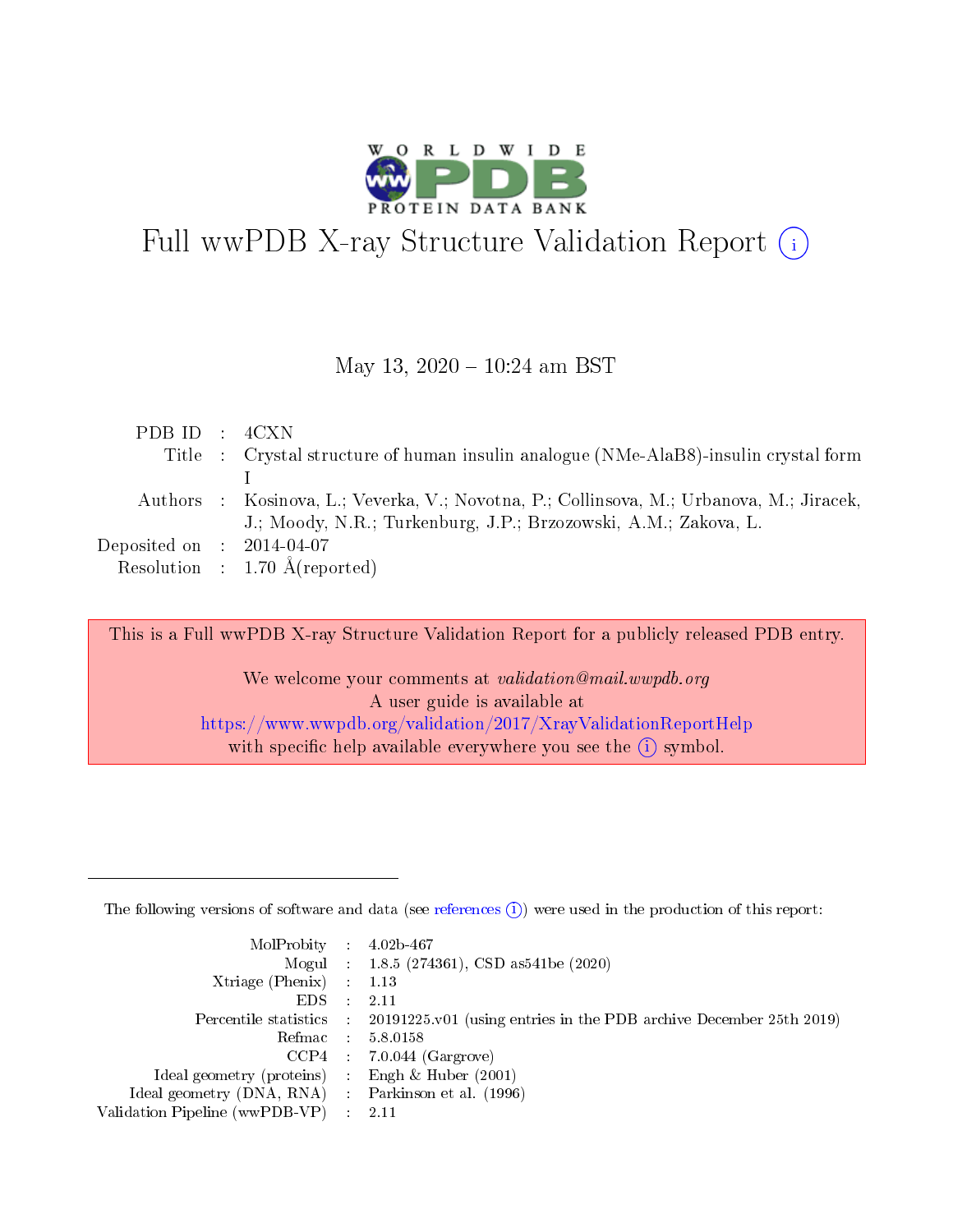

# Full wwPDB X-ray Structure Validation Report (i)

#### May 13,  $2020 - 10:24$  am BST

| PDBID : 4CXN |                                                                                          |
|--------------|------------------------------------------------------------------------------------------|
|              | Title : Crystal structure of human insulin analogue (NMe-AlaB8)-insulin crystal form     |
|              |                                                                                          |
|              | Authors : Kosinova, L.; Veverka, V.; Novotna, P.; Collinsova, M.; Urbanova, M.; Jiracek, |
|              | J.; Moody, N.R.; Turkenburg, J.P.; Brzozowski, A.M.; Zakova, L.                          |
|              | Deposited on $\therefore$ 2014-04-07                                                     |
|              | Resolution : $1.70 \text{ Å}$ (reported)                                                 |

This is a Full wwPDB X-ray Structure Validation Report for a publicly released PDB entry. We welcome your comments at validation@mail.wwpdb.org A user guide is available at

<https://www.wwpdb.org/validation/2017/XrayValidationReportHelp> with specific help available everywhere you see the  $(i)$  symbol.

The following versions of software and data (see [references](https://www.wwpdb.org/validation/2017/XrayValidationReportHelp#references)  $(1)$ ) were used in the production of this report:

| $MolProbability$ : 4.02b-467                        |               |                                                                                            |
|-----------------------------------------------------|---------------|--------------------------------------------------------------------------------------------|
|                                                     |               | Mogul : $1.8.5$ (274361), CSD as 541be (2020)                                              |
| Xtriage (Phenix) $: 1.13$                           |               |                                                                                            |
| EDS.                                                | $\mathcal{L}$ | 2.11                                                                                       |
|                                                     |               | Percentile statistics : 20191225.v01 (using entries in the PDB archive December 25th 2019) |
| Refmac 5.8.0158                                     |               |                                                                                            |
|                                                     |               | $CCP4$ : 7.0.044 (Gargrove)                                                                |
| Ideal geometry (proteins)                           |               | Engh $\&$ Huber (2001)                                                                     |
| Ideal geometry (DNA, RNA) : Parkinson et al. (1996) |               |                                                                                            |
| Validation Pipeline (wwPDB-VP) : 2.11               |               |                                                                                            |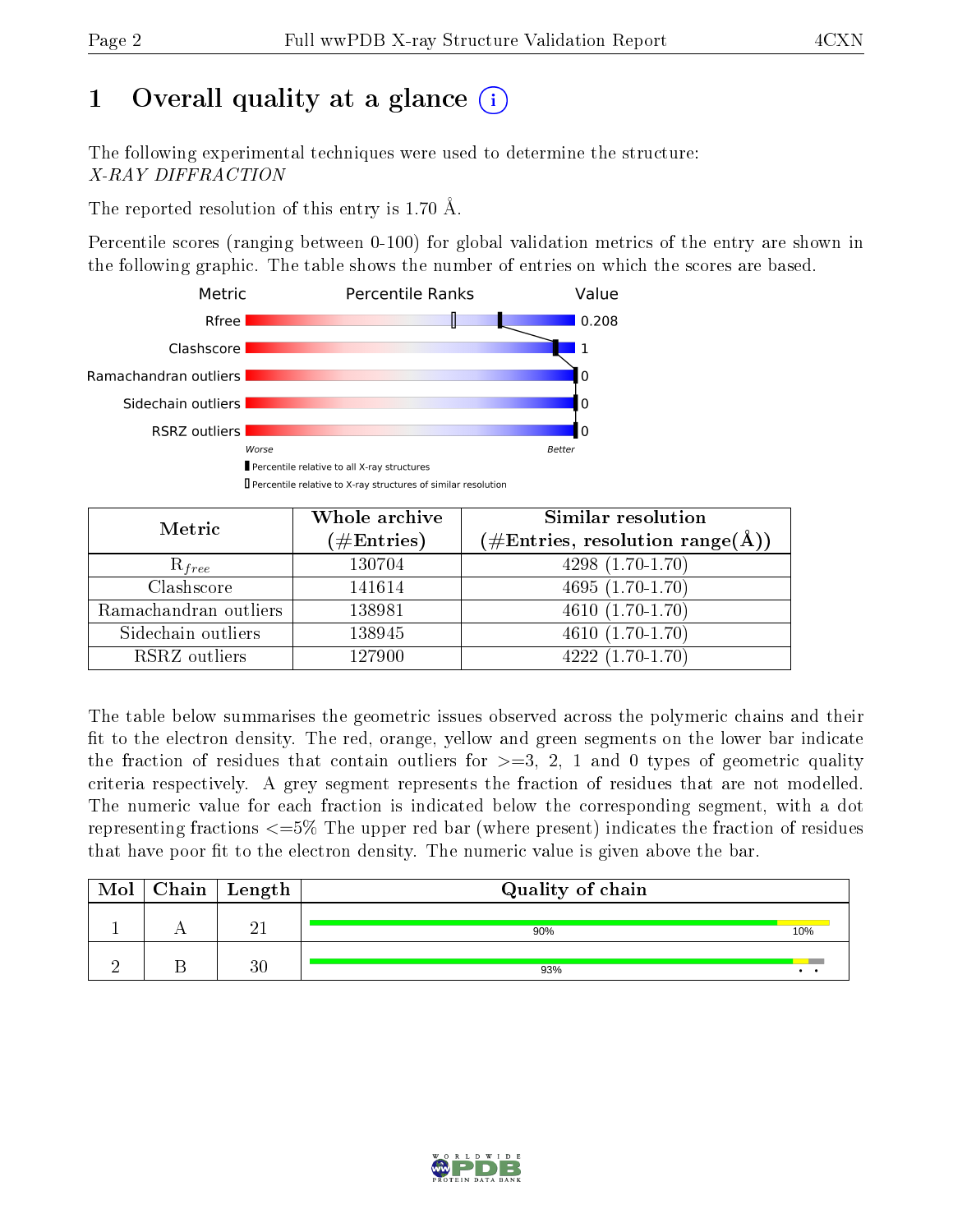# 1 [O](https://www.wwpdb.org/validation/2017/XrayValidationReportHelp#overall_quality)verall quality at a glance  $(i)$

The following experimental techniques were used to determine the structure: X-RAY DIFFRACTION

The reported resolution of this entry is 1.70 Å.

Percentile scores (ranging between 0-100) for global validation metrics of the entry are shown in the following graphic. The table shows the number of entries on which the scores are based.



| Metric                | Whole archive<br>$(\#\text{Entries})$ | Similar resolution<br>$(\#\text{Entries}, \text{resolution range}(\text{\AA}))$ |
|-----------------------|---------------------------------------|---------------------------------------------------------------------------------|
| $R_{free}$            | 130704                                | $4298(1.70-1.70)$                                                               |
| Clashscore            | 141614                                | $4695(1.70-1.70)$                                                               |
| Ramachandran outliers | 138981                                | $4610(1.70-1.70)$                                                               |
| Sidechain outliers    | 138945                                | $4610(1.70-1.70)$                                                               |
| RSRZ outliers         | 127900                                | $4222(1.70-1.70)$                                                               |

The table below summarises the geometric issues observed across the polymeric chains and their fit to the electron density. The red, orange, yellow and green segments on the lower bar indicate the fraction of residues that contain outliers for  $>=3, 2, 1$  and 0 types of geometric quality criteria respectively. A grey segment represents the fraction of residues that are not modelled. The numeric value for each fraction is indicated below the corresponding segment, with a dot representing fractions  $\epsilon=5\%$  The upper red bar (where present) indicates the fraction of residues that have poor fit to the electron density. The numeric value is given above the bar.

| Mol | ${\bf Chain \mid Length}$ | Quality of chain |                 |
|-----|---------------------------|------------------|-----------------|
|     | O 1                       | 90%              | 10%             |
|     | 30                        | 93%              | $\cdot$ $\cdot$ |

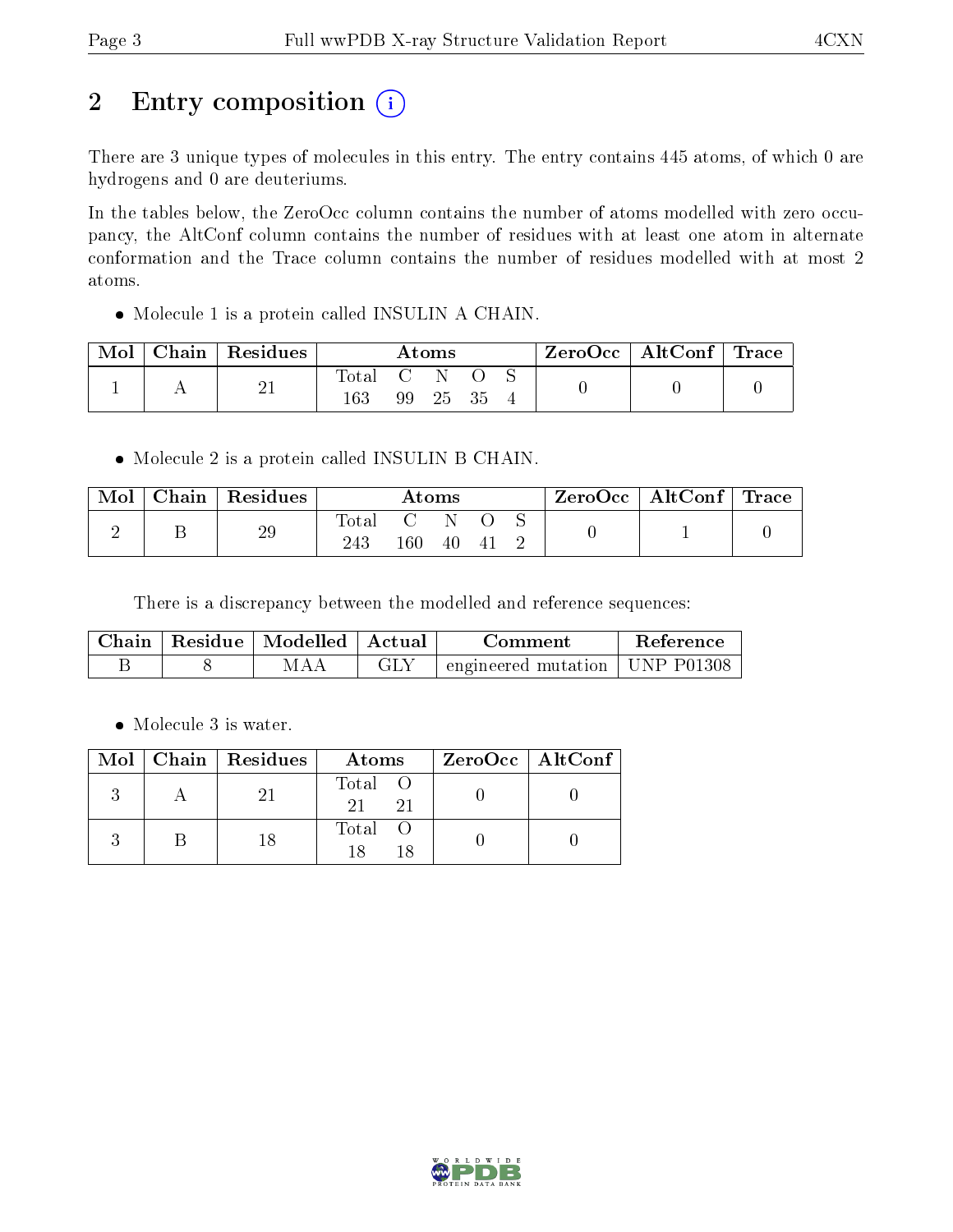# 2 Entry composition  $(i)$

There are 3 unique types of molecules in this entry. The entry contains 445 atoms, of which 0 are hydrogens and 0 are deuteriums.

In the tables below, the ZeroOcc column contains the number of atoms modelled with zero occupancy, the AltConf column contains the number of residues with at least one atom in alternate conformation and the Trace column contains the number of residues modelled with at most 2 atoms.

• Molecule 1 is a protein called INSULIN A CHAIN.

| Mol | Chain   Residues | Atoms            |    |  | ZeroOcc   AltConf   Trace |  |  |  |
|-----|------------------|------------------|----|--|---------------------------|--|--|--|
|     | ∠⊥               | rotal<br>$163\,$ | 99 |  |                           |  |  |  |

• Molecule 2 is a protein called INSULIN B CHAIN.

| Mol | Chain   Residues | $\rm{Atoms}$       |              |    | ZeroOcc   AltConf   Trace |  |  |  |
|-----|------------------|--------------------|--------------|----|---------------------------|--|--|--|
|     | 29               | $\rm Total$<br>243 | - 62.<br>160 | 40 | -4 I                      |  |  |  |

There is a discrepancy between the modelled and reference sequences:

|  | Chain   Residue   Modelled   Actual <sup> </sup> | Comment                                      | Reference |
|--|--------------------------------------------------|----------------------------------------------|-----------|
|  | -MAA                                             | $\pm$ engineered mutation   UNP P01308 $\pm$ |           |

• Molecule 3 is water.

|  | $Mol$   Chain   Residues | Atoms               | ZeroOcc   AltConf |
|--|--------------------------|---------------------|-------------------|
|  | ソー                       | Total O<br>21<br>21 |                   |
|  | 18                       | Total               |                   |

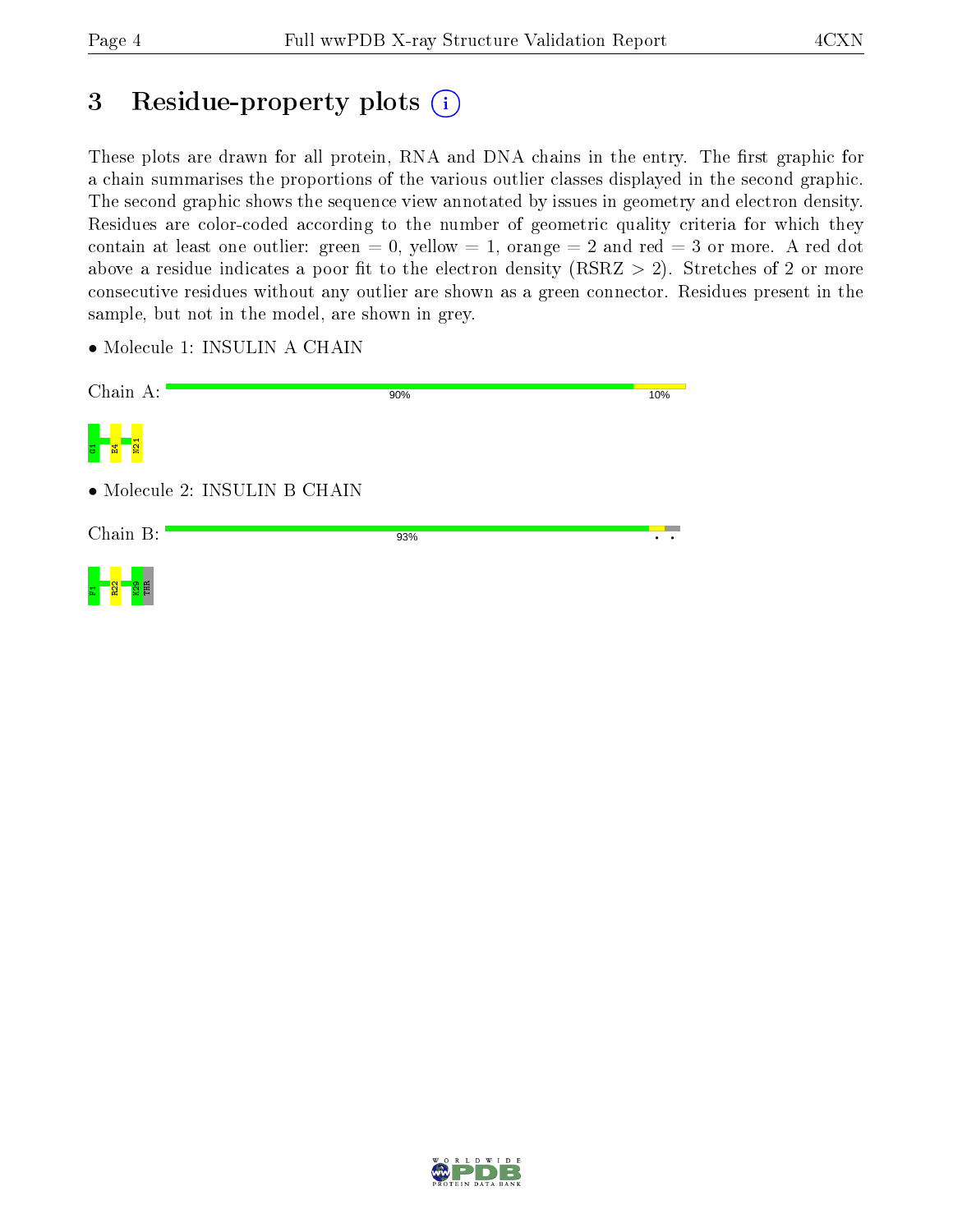# 3 Residue-property plots  $(i)$

These plots are drawn for all protein, RNA and DNA chains in the entry. The first graphic for a chain summarises the proportions of the various outlier classes displayed in the second graphic. The second graphic shows the sequence view annotated by issues in geometry and electron density. Residues are color-coded according to the number of geometric quality criteria for which they contain at least one outlier: green  $= 0$ , yellow  $= 1$ , orange  $= 2$  and red  $= 3$  or more. A red dot above a residue indicates a poor fit to the electron density (RSRZ  $> 2$ ). Stretches of 2 or more consecutive residues without any outlier are shown as a green connector. Residues present in the sample, but not in the model, are shown in grey.

• Molecule 1: INSULIN A CHAIN

| Chain A:                      | 90% | 10% |
|-------------------------------|-----|-----|
| <b>N21</b>                    |     |     |
| • Molecule 2: INSULIN B CHAIN |     |     |
| Chain B:                      | 93% |     |
| ని<br>E                       |     |     |

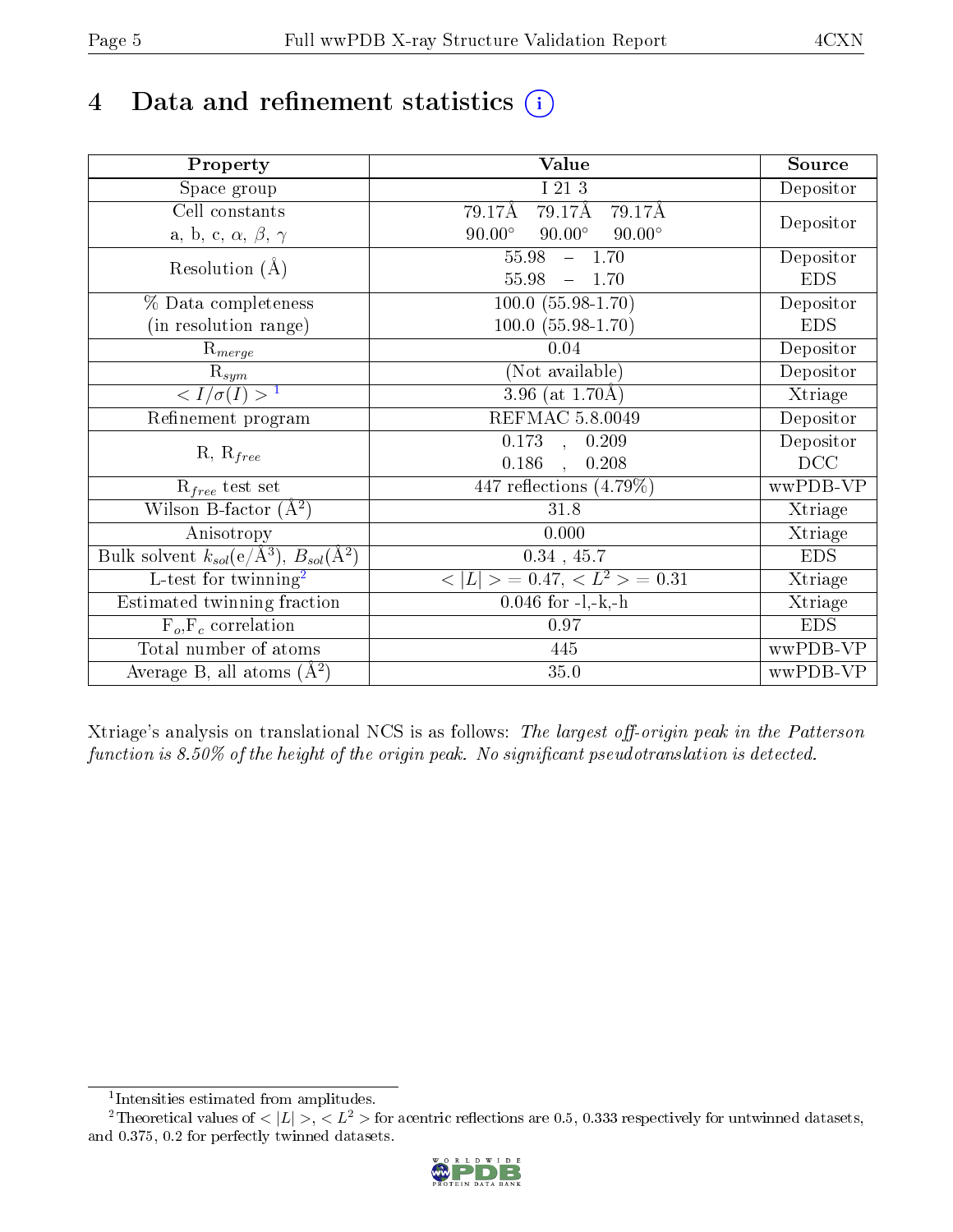# 4 Data and refinement statistics  $(i)$

| Property                                                   | <b>Value</b>                                    | Source     |
|------------------------------------------------------------|-------------------------------------------------|------------|
| Space group                                                | I 21 3                                          | Depositor  |
| Cell constants                                             | 79.17Å<br>79.17Å<br>79.17Å                      |            |
| a, b, c, $\alpha$ , $\beta$ , $\gamma$                     | $90.00^\circ$<br>$90.00^\circ$<br>$90.00^\circ$ | Depositor  |
| Resolution $(A)$                                           | 55.98<br>$-1.70$                                | Depositor  |
|                                                            | 55.98<br>$-1.70$                                | <b>EDS</b> |
| % Data completeness                                        | $100.0 (55.98 - 1.70)$                          | Depositor  |
| (in resolution range)                                      | $100.0 (55.98 - 1.70)$                          | <b>EDS</b> |
| $R_{merge}$                                                | 0.04                                            | Depositor  |
| $\mathrm{R}_{sym}$                                         | (Not available)                                 | Depositor  |
| $\langle I/\sigma(I) \rangle^{-1}$                         | 3.96 (at $1.70\text{\AA}$ )                     | Xtriage    |
| Refinement program                                         | REFMAC 5.8.0049                                 | Depositor  |
|                                                            | $\overline{0.173}$ ,<br>0.209                   | Depositor  |
| $R, R_{free}$                                              | 0.186<br>0.208                                  | DCC        |
| $R_{free}$ test set                                        | 447 reflections $(4.79\%)$                      | wwPDB-VP   |
| Wilson B-factor $(A^2)$                                    | 31.8                                            | Xtriage    |
| Anisotropy                                                 | 0.000                                           | Xtriage    |
| Bulk solvent $k_{sol}$ (e/Å <sup>3</sup> ), $B_{sol}(A^2)$ | $0.34$ , 45.7                                   | <b>EDS</b> |
| $\overline{L-test for}$ twinning <sup>2</sup>              | $< L >$ = 0.47, $< L2 >$ = 0.31                 | Xtriage    |
| Estimated twinning fraction                                | $0.046$ for $-l,-k,-h$                          | Xtriage    |
| $F_o, F_c$ correlation                                     | 0.97                                            | <b>EDS</b> |
| Total number of atoms                                      | 445                                             | wwPDB-VP   |
| Average B, all atoms $(A^2)$                               | 35.0                                            | wwPDB-VP   |

Xtriage's analysis on translational NCS is as follows: The largest off-origin peak in the Patterson function is  $8.50\%$  of the height of the origin peak. No significant pseudotranslation is detected.

<sup>&</sup>lt;sup>2</sup>Theoretical values of  $\langle |L| \rangle$ ,  $\langle L^2 \rangle$  for acentric reflections are 0.5, 0.333 respectively for untwinned datasets, and 0.375, 0.2 for perfectly twinned datasets.



<span id="page-4-1"></span><span id="page-4-0"></span><sup>1</sup> Intensities estimated from amplitudes.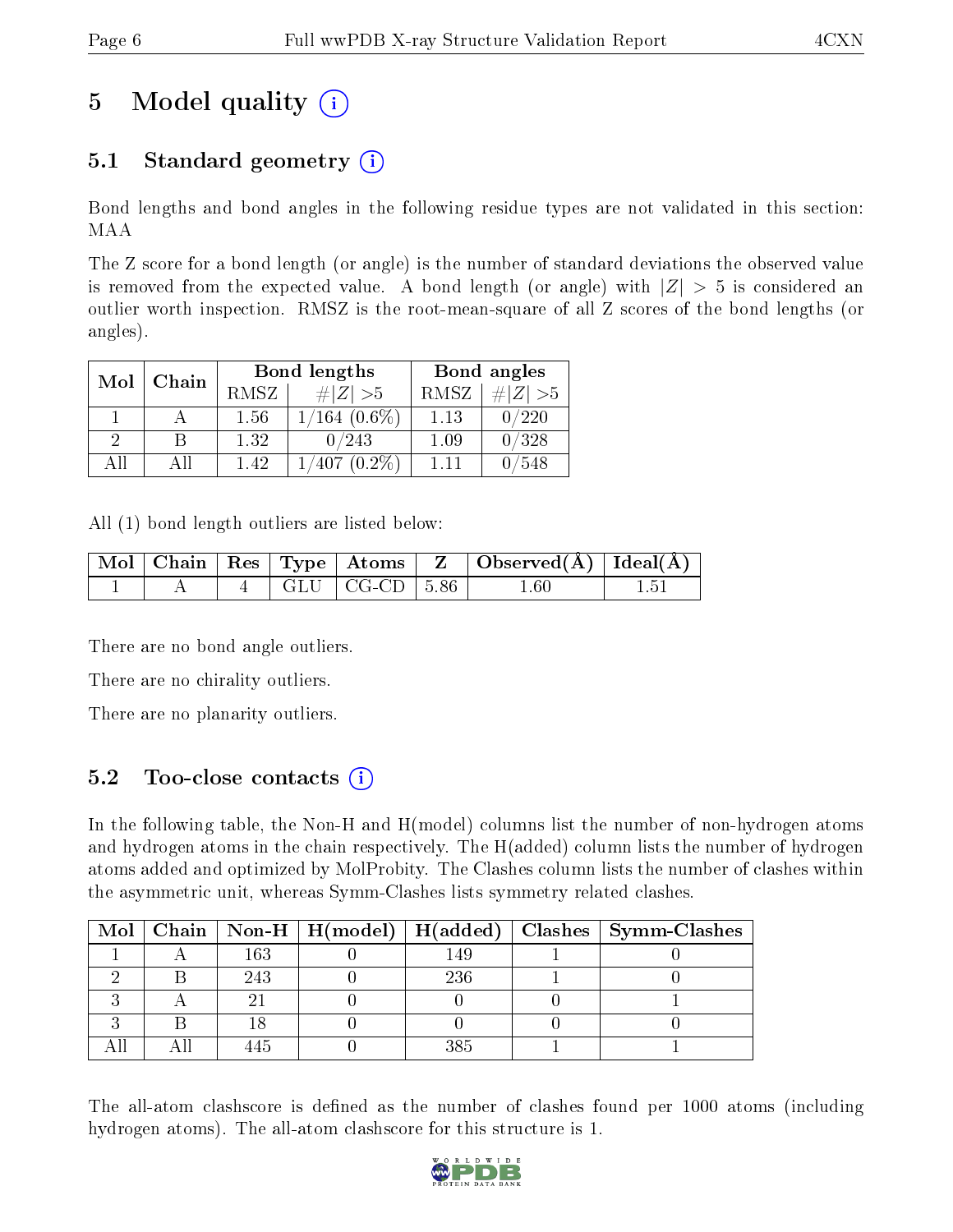# 5 Model quality  $(i)$

# 5.1 Standard geometry  $(i)$

Bond lengths and bond angles in the following residue types are not validated in this section: MAA

The Z score for a bond length (or angle) is the number of standard deviations the observed value is removed from the expected value. A bond length (or angle) with  $|Z| > 5$  is considered an outlier worth inspection. RMSZ is the root-mean-square of all Z scores of the bond lengths (or angles).

| Mol | Chain |      | <b>Bond lengths</b> | Bond angles |           |  |
|-----|-------|------|---------------------|-------------|-----------|--|
|     |       | RMSZ | $\# Z  > 5$         | RMSZ        | # $ Z >5$ |  |
|     |       | 1.56 | $1/164$ (0.6%)      | 1.13        | 0/220     |  |
| 2   | В     | 1.32 | 0/243               | 1.09        | 0/328     |  |
| AH  | Αll   | 1.42 | $1/407(0.2\%)$      | 1.11        | /548      |  |

All (1) bond length outliers are listed below:

|  |  |                            | $\mid$ Mol $\mid$ Chain $\mid$ Res $\mid$ Type $\mid$ Atoms $\mid$ Z $\mid$ Observed(A) $\mid$ Ideal(A) $\mid$ |  |
|--|--|----------------------------|----------------------------------------------------------------------------------------------------------------|--|
|  |  | $4$   GLU   CG-CD   5.86 + | . 60                                                                                                           |  |

There are no bond angle outliers.

There are no chirality outliers.

There are no planarity outliers.

## 5.2 Too-close contacts (i)

In the following table, the Non-H and H(model) columns list the number of non-hydrogen atoms and hydrogen atoms in the chain respectively. The H(added) column lists the number of hydrogen atoms added and optimized by MolProbity. The Clashes column lists the number of clashes within the asymmetric unit, whereas Symm-Clashes lists symmetry related clashes.

|  |     |     | Mol   Chain   Non-H   H(model)   H(added)   Clashes   Symm-Clashes |
|--|-----|-----|--------------------------------------------------------------------|
|  | 163 | -49 |                                                                    |
|  | 243 | 236 |                                                                    |
|  |     |     |                                                                    |
|  |     |     |                                                                    |
|  |     |     |                                                                    |

The all-atom clashscore is defined as the number of clashes found per 1000 atoms (including hydrogen atoms). The all-atom clashscore for this structure is 1.

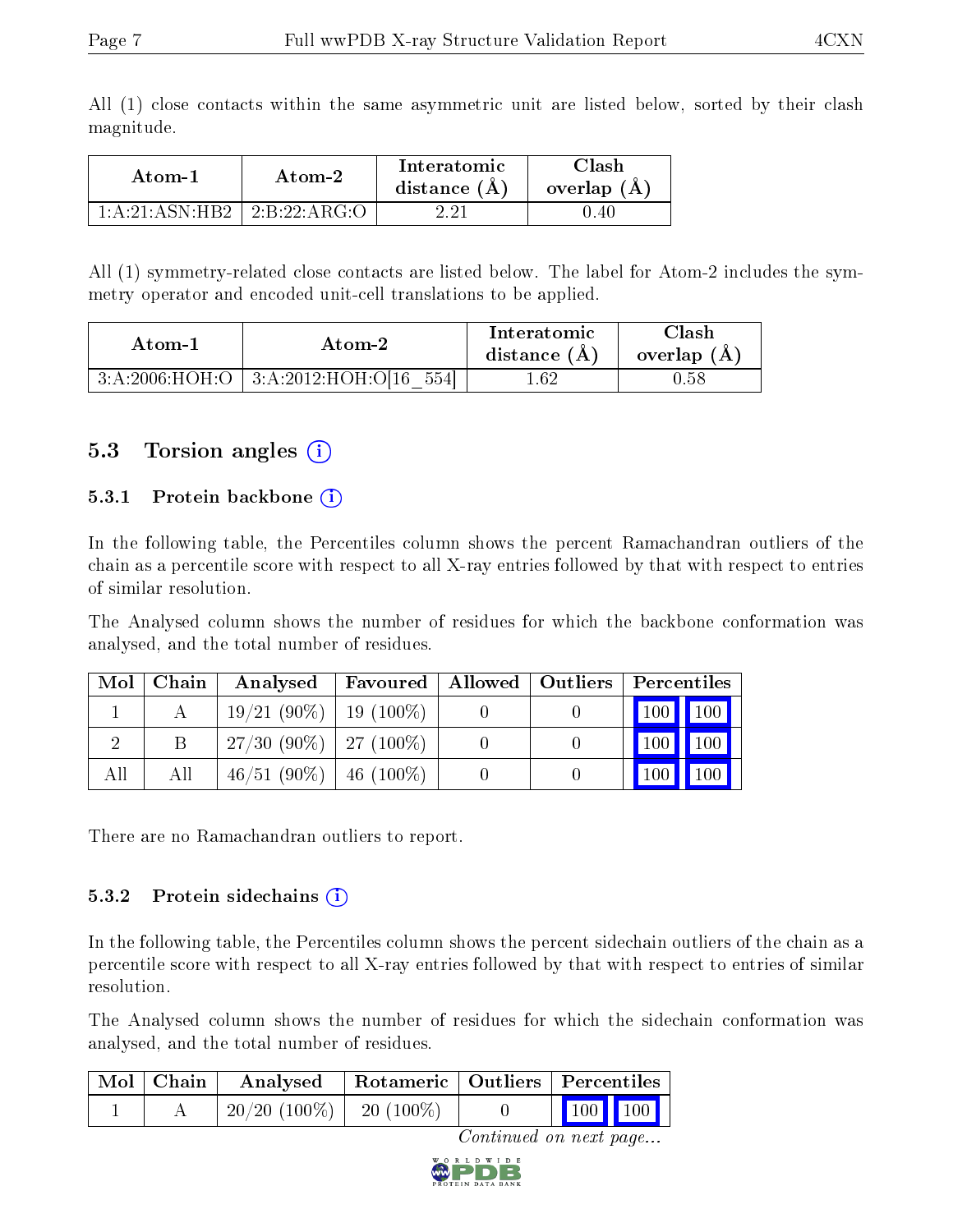|  |            |  |  | All (1) close contacts within the same asymmetric unit are listed below, sorted by their clash |  |  |  |  |
|--|------------|--|--|------------------------------------------------------------------------------------------------|--|--|--|--|
|  | magnitude. |  |  |                                                                                                |  |  |  |  |

| Atom-1              | Atom-2              | Interatomic<br>distance $(A)$ | 7lash<br>overlap $(A)$ |  |
|---------------------|---------------------|-------------------------------|------------------------|--|
| $1:A:21:A SN:HB2$ + | $\pm 2.8.22$ :ARG:O | רפ פ                          | 1.40                   |  |

All (1) symmetry-related close contacts are listed below. The label for Atom-2 includes the symmetry operator and encoded unit-cell translations to be applied.

| Atom-1         |                                        | Interatomic    | $\cap$ lash |
|----------------|----------------------------------------|----------------|-------------|
| Atom-2         |                                        | distance $(A)$ | overlap (A) |
| 3:A:2006:HOH:O | $\frac{1}{3}$ :A:2012:HOH:O[16<br>5541 | . .62          | 1.58        |

### 5.3 Torsion angles (i)

#### 5.3.1 Protein backbone  $(i)$

In the following table, the Percentiles column shows the percent Ramachandran outliers of the chain as a percentile score with respect to all X-ray entries followed by that with respect to entries of similar resolution.

The Analysed column shows the number of residues for which the backbone conformation was analysed, and the total number of residues.

| Mol | Chain | Analysed                    |  | <b>Favoured</b>   Allowed   Outliers   Percentiles |               |             |
|-----|-------|-----------------------------|--|----------------------------------------------------|---------------|-------------|
|     |       | $19/21(90\%)$   19 (100\%)  |  |                                                    | $100$   $100$ |             |
|     |       | $27/30$ (90\%)   27 (100\%) |  |                                                    | 100           | $\vert$ 100 |
| All | All   | $46/51$ (90%)   46 (100%)   |  |                                                    |               |             |

There are no Ramachandran outliers to report.

#### 5.3.2 Protein sidechains  $(i)$

In the following table, the Percentiles column shows the percent sidechain outliers of the chain as a percentile score with respect to all X-ray entries followed by that with respect to entries of similar resolution.

The Analysed column shows the number of residues for which the sidechain conformation was analysed, and the total number of residues.

| $\mid$ Mol $\mid$ Chain $\mid$ | Analysed   Rotameric   Outliers   Percentiles |  |                                                          |  |  |
|--------------------------------|-----------------------------------------------|--|----------------------------------------------------------|--|--|
|                                | $20/20$ (100\%)   20 (100\%)                  |  | $\begin{array}{ c c c }\n\hline\n100 & 100\n\end{array}$ |  |  |

Continued on next page...

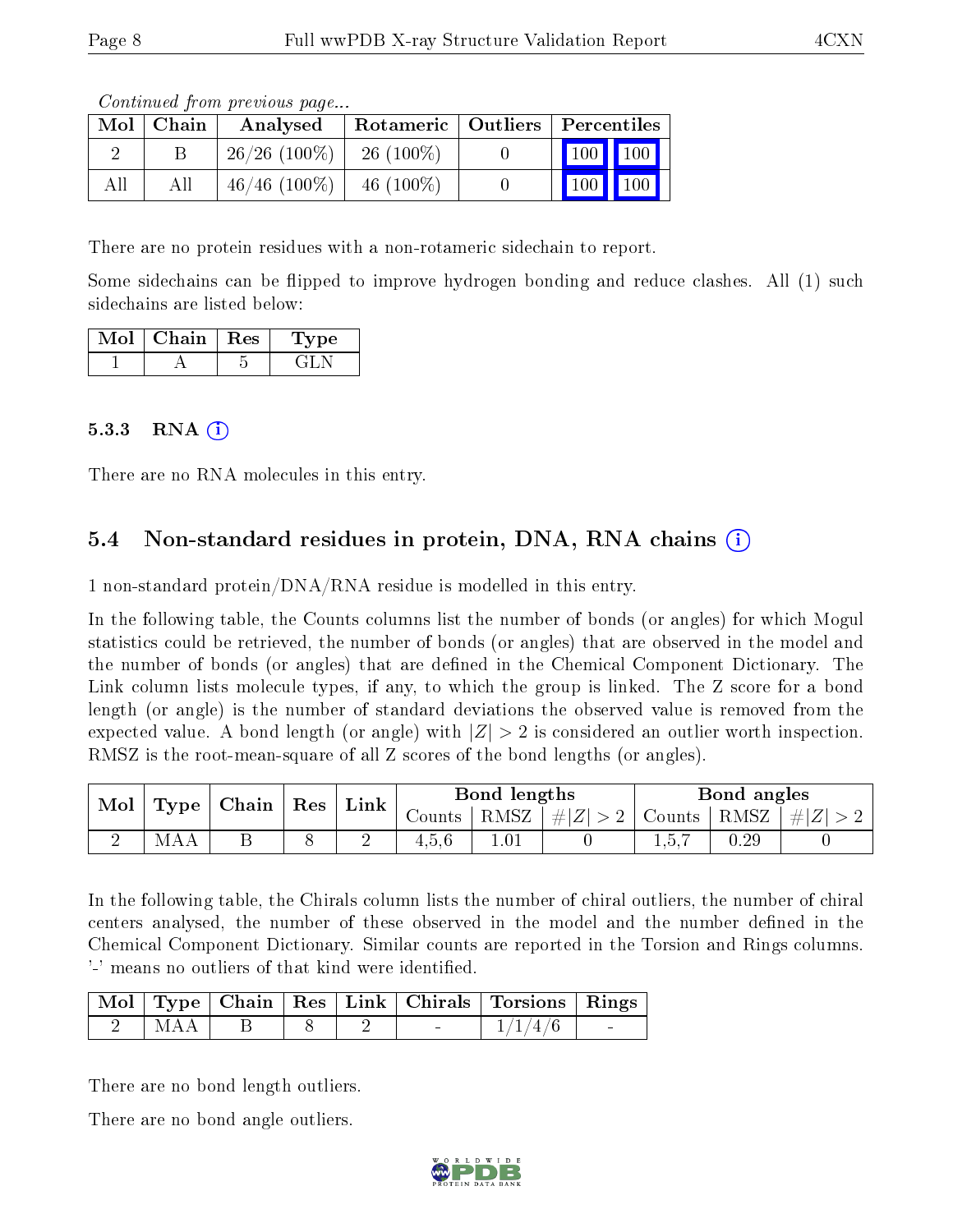Continued from previous page...

| Mol | Chain | Rotameric   Outliers   Percentiles<br>Analysed |              |       |                     |
|-----|-------|------------------------------------------------|--------------|-------|---------------------|
|     |       | $26/26$ (100\%)                                | $26(100\%)$  | 100   | 100 <sub>h</sub>    |
|     |       | $46/46$ (100\%)                                | 46 $(100\%)$ | $100$ | $\vert$ 100 $\vert$ |

There are no protein residues with a non-rotameric sidechain to report.

Some sidechains can be flipped to improve hydrogen bonding and reduce clashes. All (1) such sidechains are listed below:

| Mol | Chain | $\parallel$ Res | ype<br>$\perp$ : |
|-----|-------|-----------------|------------------|
|     |       |                 |                  |

#### 5.3.3 RNA  $(i)$

There are no RNA molecules in this entry.

## 5.4 Non-standard residues in protein, DNA, RNA chains (i)

1 non-standard protein/DNA/RNA residue is modelled in this entry.

In the following table, the Counts columns list the number of bonds (or angles) for which Mogul statistics could be retrieved, the number of bonds (or angles) that are observed in the model and the number of bonds (or angles) that are defined in the Chemical Component Dictionary. The Link column lists molecule types, if any, to which the group is linked. The Z score for a bond length (or angle) is the number of standard deviations the observed value is removed from the expected value. A bond length (or angle) with  $|Z| > 2$  is considered an outlier worth inspection. RMSZ is the root-mean-square of all Z scores of the bond lengths (or angles).

| Mol | Type | Chain   Res |  | Link |         | Bond lengths |                                   | Bond angles |      |           |
|-----|------|-------------|--|------|---------|--------------|-----------------------------------|-------------|------|-----------|
|     |      |             |  |      | Counts- | RMSZ         | $\left  \#Z \right  > 2$   Counts |             | RMSZ | $\pm  Z $ |
|     | M    |             |  | ∼    | 4.5.6   | $1.01\,$     |                                   |             | J.29 |           |

In the following table, the Chirals column lists the number of chiral outliers, the number of chiral centers analysed, the number of these observed in the model and the number defined in the Chemical Component Dictionary. Similar counts are reported in the Torsion and Rings columns. '-' means no outliers of that kind were identified.

|       |  |  | Mol   Type   Chain   Res   Link   Chirals   Torsions   Rings |  |
|-------|--|--|--------------------------------------------------------------|--|
| I MAA |  |  | 1/1/4/6                                                      |  |

There are no bond length outliers.

There are no bond angle outliers.

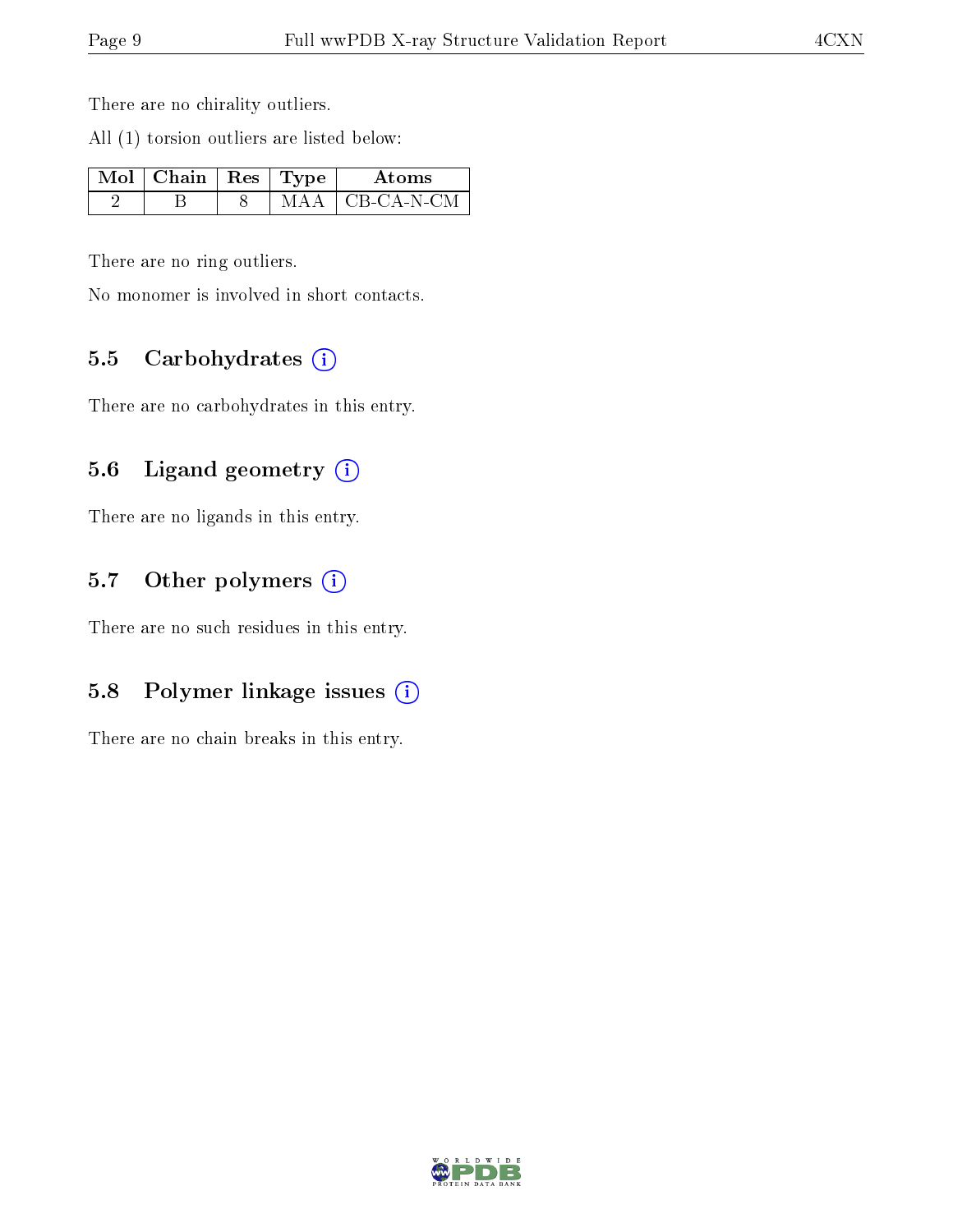There are no chirality outliers.

All (1) torsion outliers are listed below:

| $\mathbb{N}$ ol   Chain   Res   Type ' |  | Atoms       |
|----------------------------------------|--|-------------|
|                                        |  | ∣CB-CA-N-CM |

There are no ring outliers.

No monomer is involved in short contacts.

#### 5.5 Carbohydrates  $(i)$

There are no carbohydrates in this entry.

### 5.6 Ligand geometry (i)

There are no ligands in this entry.

#### 5.7 [O](https://www.wwpdb.org/validation/2017/XrayValidationReportHelp#nonstandard_residues_and_ligands)ther polymers  $(i)$

There are no such residues in this entry.

### 5.8 Polymer linkage issues (i)

There are no chain breaks in this entry.